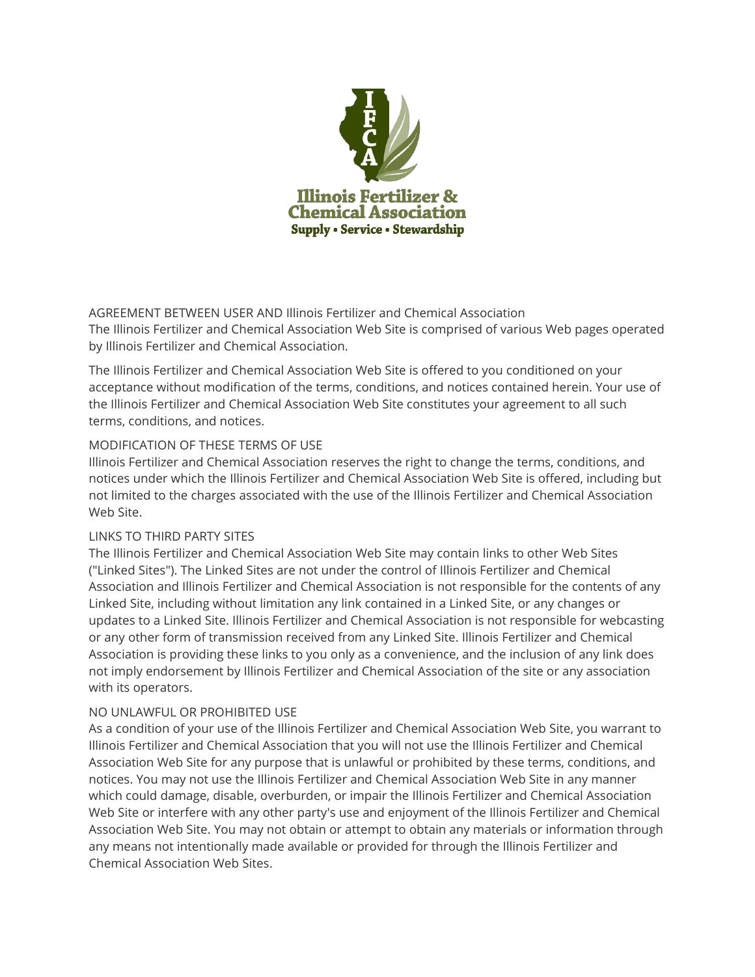

AGREEMENT BETWEEN USER AND Illinois Fertilizer and Chemical Association The Illinois Fertilizer and Chemical Association Web Site is comprised of various Web pages operated by Illinois Fertilizer and Chemical Association.

The Illinois Fertilizer and Chemical Association Web Site is offered to you conditioned on your acceptance without modification of the terms, conditions, and notices contained herein. Your use of the Illinois Fertilizer and Chemical Association Web Site constitutes your agreement to all such terms, conditions, and notices.

# MODIFICATION OF THESE TERMS OF USE

Illinois Fertilizer and Chemical Association reserves the right to change the terms, conditions, and notices under which the Illinois Fertilizer and Chemical Association Web Site is offered, including but not limited to the charges associated with the use of the Illinois Fertilizer and Chemical Association Web Site.

# LINKS TO THIRD PARTY SITES

The Illinois Fertilizer and Chemical Association Web Site may contain links to other Web Sites ("Linked Sites"). The Linked Sites are not under the control of Illinois Fertilizer and Chemical Association and Illinois Fertilizer and Chemical Association is not responsible for the contents of any Linked Site, including without limitation any link contained in a Linked Site, or any changes or updates to a Linked Site. Illinois Fertilizer and Chemical Association is not responsible for webcasting or any other form of transmission received from any Linked Site. Illinois Fertilizer and Chemical Association is providing these links to you only as a convenience, and the inclusion of any link does not imply endorsement by Illinois Fertilizer and Chemical Association of the site or any association with its operators.

# NO UNLAWFUL OR PROHIBITED USE

As a condition of your use of the Illinois Fertilizer and Chemical Association Web Site, you warrant to Illinois Fertilizer and Chemical Association that you will not use the Illinois Fertilizer and Chemical Association Web Site for any purpose that is unlawful or prohibited by these terms, conditions, and notices. You may not use the Illinois Fertilizer and Chemical Association Web Site in any manner which could damage, disable, overburden, or impair the Illinois Fertilizer and Chemical Association Web Site or interfere with any other party's use and enjoyment of the Illinois Fertilizer and Chemical Association Web Site. You may not obtain or attempt to obtain any materials or information through any means not intentionally made available or provided for through the Illinois Fertilizer and Chemical Association Web Sites.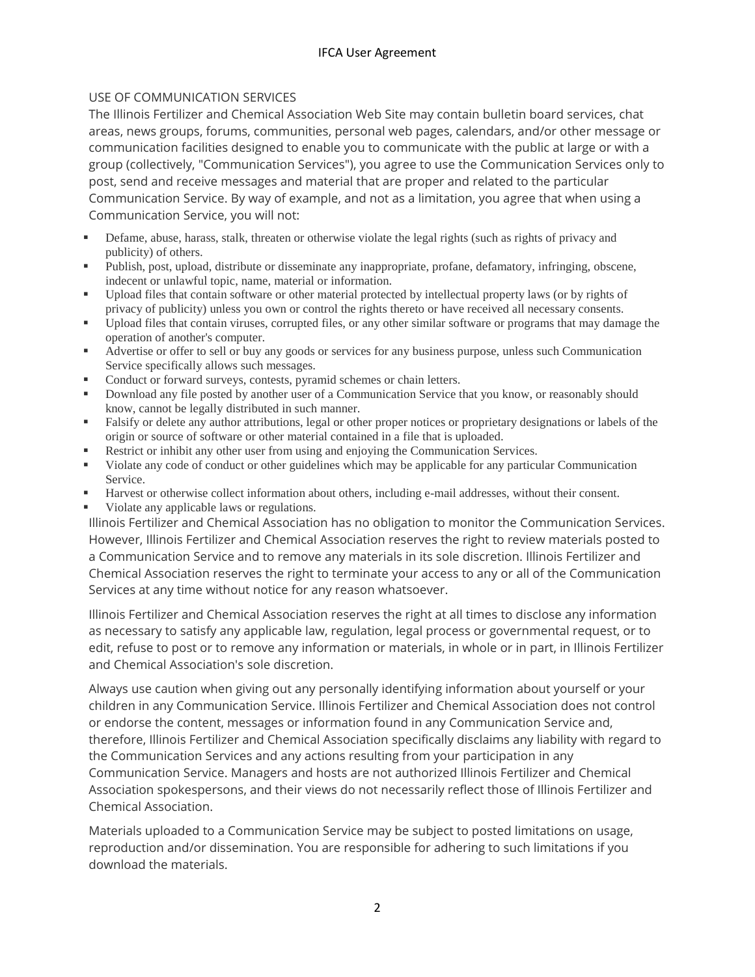### IFCA User Agreement

### USE OF COMMUNICATION SERVICES

The Illinois Fertilizer and Chemical Association Web Site may contain bulletin board services, chat areas, news groups, forums, communities, personal web pages, calendars, and/or other message or communication facilities designed to enable you to communicate with the public at large or with a group (collectively, "Communication Services"), you agree to use the Communication Services only to post, send and receive messages and material that are proper and related to the particular Communication Service. By way of example, and not as a limitation, you agree that when using a Communication Service, you will not:

- Defame, abuse, harass, stalk, threaten or otherwise violate the legal rights (such as rights of privacy and publicity) of others.
- Publish, post, upload, distribute or disseminate any inappropriate, profane, defamatory, infringing, obscene, indecent or unlawful topic, name, material or information.
- Upload files that contain software or other material protected by intellectual property laws (or by rights of privacy of publicity) unless you own or control the rights thereto or have received all necessary consents.
- Upload files that contain viruses, corrupted files, or any other similar software or programs that may damage the operation of another's computer.
- Advertise or offer to sell or buy any goods or services for any business purpose, unless such Communication Service specifically allows such messages.
- **Conduct or forward surveys, contests, pyramid schemes or chain letters.**
- Download any file posted by another user of a Communication Service that you know, or reasonably should know, cannot be legally distributed in such manner.
- Falsify or delete any author attributions, legal or other proper notices or proprietary designations or labels of the origin or source of software or other material contained in a file that is uploaded.
- Restrict or inhibit any other user from using and enjoying the Communication Services.
- Violate any code of conduct or other guidelines which may be applicable for any particular Communication Service.
- Harvest or otherwise collect information about others, including e-mail addresses, without their consent.
- Violate any applicable laws or regulations.

Illinois Fertilizer and Chemical Association has no obligation to monitor the Communication Services. However, Illinois Fertilizer and Chemical Association reserves the right to review materials posted to a Communication Service and to remove any materials in its sole discretion. Illinois Fertilizer and Chemical Association reserves the right to terminate your access to any or all of the Communication Services at any time without notice for any reason whatsoever.

Illinois Fertilizer and Chemical Association reserves the right at all times to disclose any information as necessary to satisfy any applicable law, regulation, legal process or governmental request, or to edit, refuse to post or to remove any information or materials, in whole or in part, in Illinois Fertilizer and Chemical Association's sole discretion.

Always use caution when giving out any personally identifying information about yourself or your children in any Communication Service. Illinois Fertilizer and Chemical Association does not control or endorse the content, messages or information found in any Communication Service and, therefore, Illinois Fertilizer and Chemical Association specifically disclaims any liability with regard to the Communication Services and any actions resulting from your participation in any Communication Service. Managers and hosts are not authorized Illinois Fertilizer and Chemical Association spokespersons, and their views do not necessarily reflect those of Illinois Fertilizer and Chemical Association.

Materials uploaded to a Communication Service may be subject to posted limitations on usage, reproduction and/or dissemination. You are responsible for adhering to such limitations if you download the materials.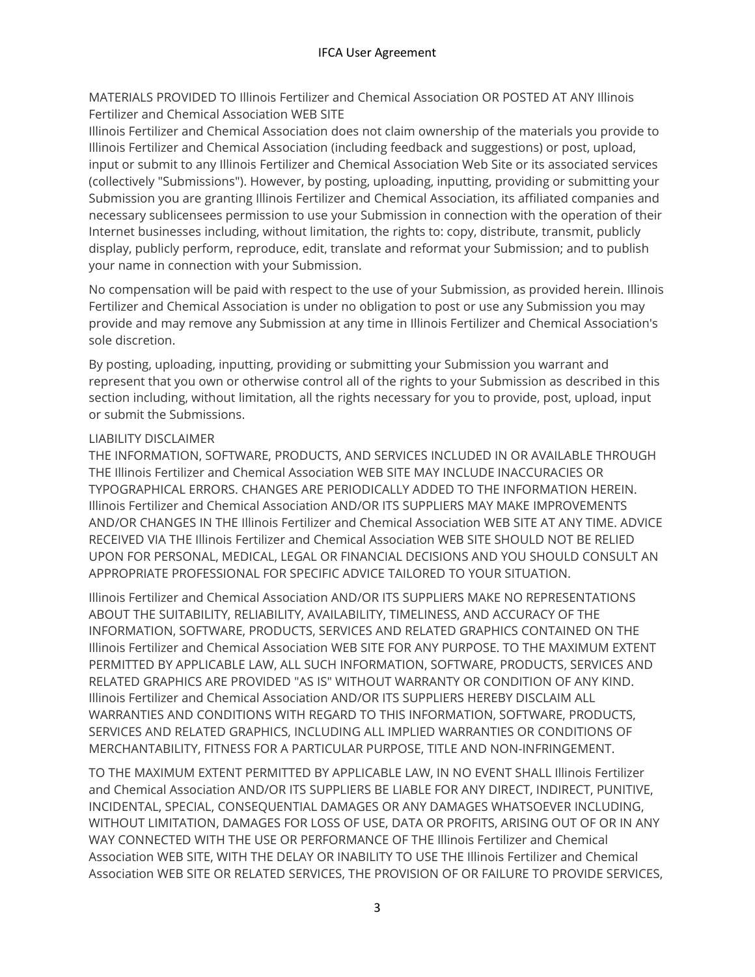MATERIALS PROVIDED TO Illinois Fertilizer and Chemical Association OR POSTED AT ANY Illinois Fertilizer and Chemical Association WEB SITE

Illinois Fertilizer and Chemical Association does not claim ownership of the materials you provide to Illinois Fertilizer and Chemical Association (including feedback and suggestions) or post, upload, input or submit to any Illinois Fertilizer and Chemical Association Web Site or its associated services (collectively "Submissions"). However, by posting, uploading, inputting, providing or submitting your Submission you are granting Illinois Fertilizer and Chemical Association, its affiliated companies and necessary sublicensees permission to use your Submission in connection with the operation of their Internet businesses including, without limitation, the rights to: copy, distribute, transmit, publicly display, publicly perform, reproduce, edit, translate and reformat your Submission; and to publish your name in connection with your Submission.

No compensation will be paid with respect to the use of your Submission, as provided herein. Illinois Fertilizer and Chemical Association is under no obligation to post or use any Submission you may provide and may remove any Submission at any time in Illinois Fertilizer and Chemical Association's sole discretion.

By posting, uploading, inputting, providing or submitting your Submission you warrant and represent that you own or otherwise control all of the rights to your Submission as described in this section including, without limitation, all the rights necessary for you to provide, post, upload, input or submit the Submissions.

# LIABILITY DISCLAIMER

THE INFORMATION, SOFTWARE, PRODUCTS, AND SERVICES INCLUDED IN OR AVAILABLE THROUGH THE Illinois Fertilizer and Chemical Association WEB SITE MAY INCLUDE INACCURACIES OR TYPOGRAPHICAL ERRORS. CHANGES ARE PERIODICALLY ADDED TO THE INFORMATION HEREIN. Illinois Fertilizer and Chemical Association AND/OR ITS SUPPLIERS MAY MAKE IMPROVEMENTS AND/OR CHANGES IN THE Illinois Fertilizer and Chemical Association WEB SITE AT ANY TIME. ADVICE RECEIVED VIA THE Illinois Fertilizer and Chemical Association WEB SITE SHOULD NOT BE RELIED UPON FOR PERSONAL, MEDICAL, LEGAL OR FINANCIAL DECISIONS AND YOU SHOULD CONSULT AN APPROPRIATE PROFESSIONAL FOR SPECIFIC ADVICE TAILORED TO YOUR SITUATION.

Illinois Fertilizer and Chemical Association AND/OR ITS SUPPLIERS MAKE NO REPRESENTATIONS ABOUT THE SUITABILITY, RELIABILITY, AVAILABILITY, TIMELINESS, AND ACCURACY OF THE INFORMATION, SOFTWARE, PRODUCTS, SERVICES AND RELATED GRAPHICS CONTAINED ON THE Illinois Fertilizer and Chemical Association WEB SITE FOR ANY PURPOSE. TO THE MAXIMUM EXTENT PERMITTED BY APPLICABLE LAW, ALL SUCH INFORMATION, SOFTWARE, PRODUCTS, SERVICES AND RELATED GRAPHICS ARE PROVIDED "AS IS" WITHOUT WARRANTY OR CONDITION OF ANY KIND. Illinois Fertilizer and Chemical Association AND/OR ITS SUPPLIERS HEREBY DISCLAIM ALL WARRANTIES AND CONDITIONS WITH REGARD TO THIS INFORMATION, SOFTWARE, PRODUCTS, SERVICES AND RELATED GRAPHICS, INCLUDING ALL IMPLIED WARRANTIES OR CONDITIONS OF MERCHANTABILITY, FITNESS FOR A PARTICULAR PURPOSE, TITLE AND NON-INFRINGEMENT.

TO THE MAXIMUM EXTENT PERMITTED BY APPLICABLE LAW, IN NO EVENT SHALL Illinois Fertilizer and Chemical Association AND/OR ITS SUPPLIERS BE LIABLE FOR ANY DIRECT, INDIRECT, PUNITIVE, INCIDENTAL, SPECIAL, CONSEQUENTIAL DAMAGES OR ANY DAMAGES WHATSOEVER INCLUDING, WITHOUT LIMITATION, DAMAGES FOR LOSS OF USE, DATA OR PROFITS, ARISING OUT OF OR IN ANY WAY CONNECTED WITH THE USE OR PERFORMANCE OF THE Illinois Fertilizer and Chemical Association WEB SITE, WITH THE DELAY OR INABILITY TO USE THE Illinois Fertilizer and Chemical Association WEB SITE OR RELATED SERVICES, THE PROVISION OF OR FAILURE TO PROVIDE SERVICES,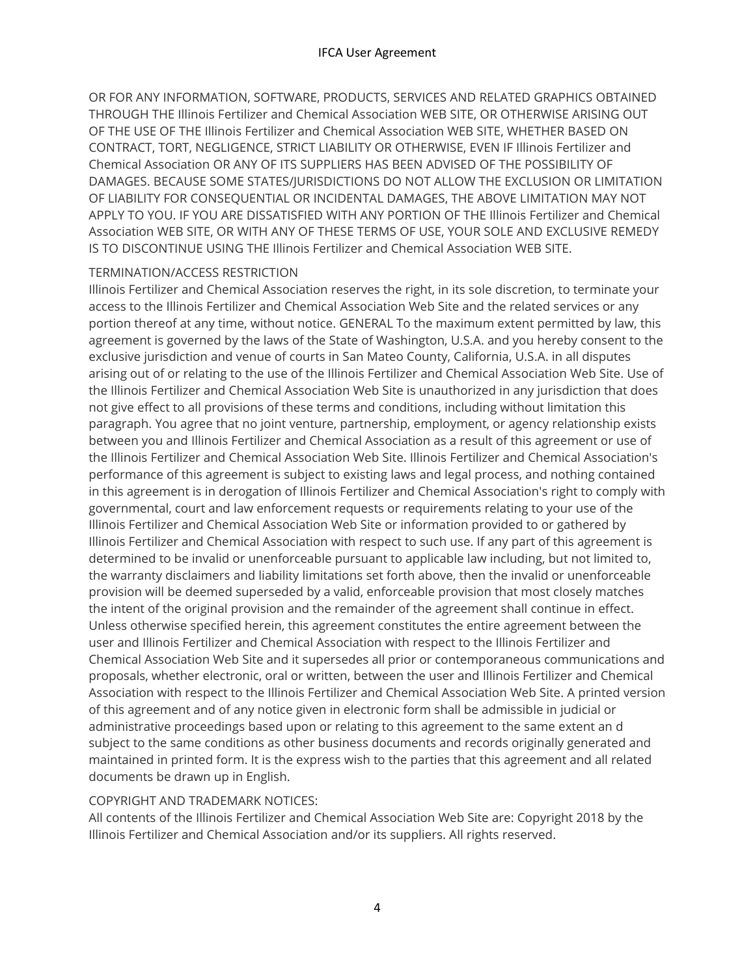OR FOR ANY INFORMATION, SOFTWARE, PRODUCTS, SERVICES AND RELATED GRAPHICS OBTAINED THROUGH THE Illinois Fertilizer and Chemical Association WEB SITE, OR OTHERWISE ARISING OUT OF THE USE OF THE Illinois Fertilizer and Chemical Association WEB SITE, WHETHER BASED ON CONTRACT, TORT, NEGLIGENCE, STRICT LIABILITY OR OTHERWISE, EVEN IF Illinois Fertilizer and Chemical Association OR ANY OF ITS SUPPLIERS HAS BEEN ADVISED OF THE POSSIBILITY OF DAMAGES. BECAUSE SOME STATES/JURISDICTIONS DO NOT ALLOW THE EXCLUSION OR LIMITATION OF LIABILITY FOR CONSEQUENTIAL OR INCIDENTAL DAMAGES, THE ABOVE LIMITATION MAY NOT APPLY TO YOU. IF YOU ARE DISSATISFIED WITH ANY PORTION OF THE Illinois Fertilizer and Chemical Association WEB SITE, OR WITH ANY OF THESE TERMS OF USE, YOUR SOLE AND EXCLUSIVE REMEDY IS TO DISCONTINUE USING THE Illinois Fertilizer and Chemical Association WEB SITE.

#### TERMINATION/ACCESS RESTRICTION

Illinois Fertilizer and Chemical Association reserves the right, in its sole discretion, to terminate your access to the Illinois Fertilizer and Chemical Association Web Site and the related services or any portion thereof at any time, without notice. GENERAL To the maximum extent permitted by law, this agreement is governed by the laws of the State of Washington, U.S.A. and you hereby consent to the exclusive jurisdiction and venue of courts in San Mateo County, California, U.S.A. in all disputes arising out of or relating to the use of the Illinois Fertilizer and Chemical Association Web Site. Use of the Illinois Fertilizer and Chemical Association Web Site is unauthorized in any jurisdiction that does not give effect to all provisions of these terms and conditions, including without limitation this paragraph. You agree that no joint venture, partnership, employment, or agency relationship exists between you and Illinois Fertilizer and Chemical Association as a result of this agreement or use of the Illinois Fertilizer and Chemical Association Web Site. Illinois Fertilizer and Chemical Association's performance of this agreement is subject to existing laws and legal process, and nothing contained in this agreement is in derogation of Illinois Fertilizer and Chemical Association's right to comply with governmental, court and law enforcement requests or requirements relating to your use of the Illinois Fertilizer and Chemical Association Web Site or information provided to or gathered by Illinois Fertilizer and Chemical Association with respect to such use. If any part of this agreement is determined to be invalid or unenforceable pursuant to applicable law including, but not limited to, the warranty disclaimers and liability limitations set forth above, then the invalid or unenforceable provision will be deemed superseded by a valid, enforceable provision that most closely matches the intent of the original provision and the remainder of the agreement shall continue in effect. Unless otherwise specified herein, this agreement constitutes the entire agreement between the user and Illinois Fertilizer and Chemical Association with respect to the Illinois Fertilizer and Chemical Association Web Site and it supersedes all prior or contemporaneous communications and proposals, whether electronic, oral or written, between the user and Illinois Fertilizer and Chemical Association with respect to the Illinois Fertilizer and Chemical Association Web Site. A printed version of this agreement and of any notice given in electronic form shall be admissible in judicial or administrative proceedings based upon or relating to this agreement to the same extent an d subject to the same conditions as other business documents and records originally generated and maintained in printed form. It is the express wish to the parties that this agreement and all related documents be drawn up in English.

# COPYRIGHT AND TRADEMARK NOTICES:

All contents of the Illinois Fertilizer and Chemical Association Web Site are: Copyright 2018 by the Illinois Fertilizer and Chemical Association and/or its suppliers. All rights reserved.